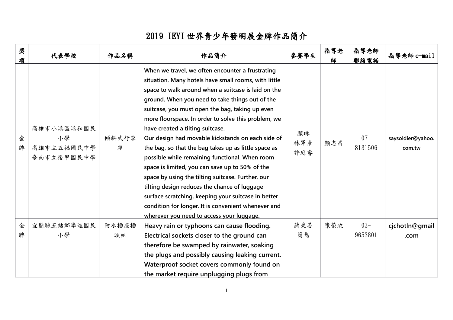## 2019 IEYI 世界青少年發明展金牌作品簡介

| 奬<br>項 | 代表學校                                         | 作品名稱        | 作品簡介                                                                                                                                                                                                                                                                                                                                                                                                                                                                                                                                                                                                                                                                                                                                                                                                                                               | 參賽學生             | 指導老<br>師 | 指導老師<br>聯絡電話      | 指導老師e-mail                  |
|--------|----------------------------------------------|-------------|----------------------------------------------------------------------------------------------------------------------------------------------------------------------------------------------------------------------------------------------------------------------------------------------------------------------------------------------------------------------------------------------------------------------------------------------------------------------------------------------------------------------------------------------------------------------------------------------------------------------------------------------------------------------------------------------------------------------------------------------------------------------------------------------------------------------------------------------------|------------------|----------|-------------------|-----------------------------|
| 金<br>牌 | 高雄市小港區港和國民<br>小學<br>高雄市立五福國民中學<br>臺南市立後甲國民中學 | 傾斜式行李<br>箱  | When we travel, we often encounter a frustrating<br>situation. Many hotels have small rooms, with little<br>space to walk around when a suitcase is laid on the<br>ground. When you need to take things out of the<br>suitcase, you must open the bag, taking up even<br>more floorspace. In order to solve this problem, we<br>have created a tilting suitcase.<br>Our design had movable kickstands on each side of<br>the bag, so that the bag takes up as little space as<br>possible while remaining functional. When room<br>space is limited, you can save up to 50% of the<br>space by using the tilting suitcase. Further, our<br>tilting design reduces the chance of luggage<br>surface scratching, keeping your suitcase in better<br>condition for longer. It is convenient whenever and<br>wherever you need to access your luggage. | 顏琳<br>林軍彥<br>許庭睿 | 顏志昌      | $07 -$<br>8131506 | saysoldier@yahoo.<br>com.tw |
| 金<br>牌 | 宜蘭縣五結鄉學進國民<br>小學                             | 防水插座插<br>頭組 | Heavy rain or typhoons can cause flooding.<br>Electrical sockets closer to the ground can<br>therefore be swamped by rainwater, soaking<br>the plugs and possibly causing leaking current.<br>Waterproof socket covers commonly found on<br>the market require unplugging plugs from                                                                                                                                                                                                                                                                                                                                                                                                                                                                                                                                                               | 蔣秉晏<br>簡雋        | 陳榮政      | $03 -$<br>9653801 | cjchotln@gmail<br>.com      |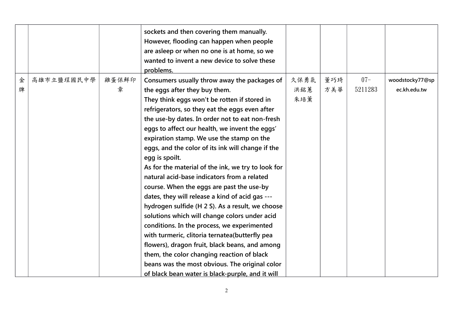|   |            |       | sockets and then covering them manually.<br>However, flooding can happen when people<br>are asleep or when no one is at home, so we |      |     |         |                 |
|---|------------|-------|-------------------------------------------------------------------------------------------------------------------------------------|------|-----|---------|-----------------|
|   |            |       | wanted to invent a new device to solve these                                                                                        |      |     |         |                 |
|   |            |       | problems.                                                                                                                           |      |     |         |                 |
| 金 | 高雄市立鹽埕國民中學 | 雞蛋保鮮印 | Consumers usually throw away the packages of                                                                                        | 久保勇氣 | 董巧琦 | $07 -$  | woodstocky77@sp |
| 牌 |            | 章     | the eggs after they buy them.                                                                                                       | 洪銘蕙  | 方美華 | 5211283 | ec.kh.edu.tw    |
|   |            |       | They think eggs won't be rotten if stored in                                                                                        | 朱培薰  |     |         |                 |
|   |            |       | refrigerators, so they eat the eggs even after                                                                                      |      |     |         |                 |
|   |            |       | the use-by dates. In order not to eat non-fresh                                                                                     |      |     |         |                 |
|   |            |       | eggs to affect our health, we invent the eggs'                                                                                      |      |     |         |                 |
|   |            |       | expiration stamp. We use the stamp on the                                                                                           |      |     |         |                 |
|   |            |       | eggs, and the color of its ink will change if the                                                                                   |      |     |         |                 |
|   |            |       | egg is spoilt.                                                                                                                      |      |     |         |                 |
|   |            |       | As for the material of the ink, we try to look for                                                                                  |      |     |         |                 |
|   |            |       | natural acid-base indicators from a related                                                                                         |      |     |         |                 |
|   |            |       | course. When the eggs are past the use-by                                                                                           |      |     |         |                 |
|   |            |       | dates, they will release a kind of acid gas ---                                                                                     |      |     |         |                 |
|   |            |       | hydrogen sulfide (H 2 S). As a result, we choose                                                                                    |      |     |         |                 |
|   |            |       | solutions which will change colors under acid                                                                                       |      |     |         |                 |
|   |            |       | conditions. In the process, we experimented                                                                                         |      |     |         |                 |
|   |            |       | with turmeric, clitoria ternatea(butterfly pea                                                                                      |      |     |         |                 |
|   |            |       | flowers), dragon fruit, black beans, and among                                                                                      |      |     |         |                 |
|   |            |       | them, the color changing reaction of black                                                                                          |      |     |         |                 |
|   |            |       | beans was the most obvious. The original color                                                                                      |      |     |         |                 |
|   |            |       | of black bean water is black-purple, and it will                                                                                    |      |     |         |                 |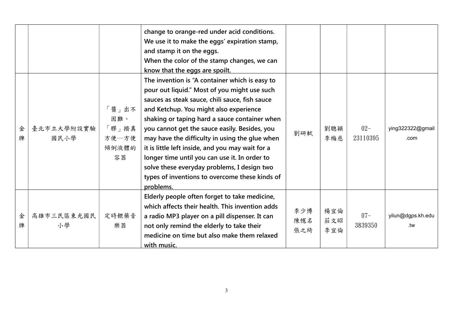|        |                    |                                               | change to orange-red under acid conditions.<br>We use it to make the eggs' expiration stamp,<br>and stamp it on the eggs.<br>When the color of the stamp changes, we can<br>know that the eggs are spoilt.                                                                                                                                                                                                                                                                                                                                                        |                   |                   |                    |                          |
|--------|--------------------|-----------------------------------------------|-------------------------------------------------------------------------------------------------------------------------------------------------------------------------------------------------------------------------------------------------------------------------------------------------------------------------------------------------------------------------------------------------------------------------------------------------------------------------------------------------------------------------------------------------------------------|-------------------|-------------------|--------------------|--------------------------|
| 金<br>牌 | 臺北市立大學附設實驗<br>國民小學 | 「醬」出不<br>困難、<br>「膠」擠真<br>方便一方便<br>傾倒液體的<br>容器 | The invention is "A container which is easy to<br>pour out liquid." Most of you might use such<br>sauces as steak sauce, chili sauce, fish sauce<br>and Ketchup. You might also experience<br>shaking or taping hard a sauce container when<br>you cannot get the sauce easily. Besides, you<br>may have the difficulty in using the glue when<br>it is little left inside, and you may wait for a<br>longer time until you can use it. In order to<br>solve these everyday problems, I design two<br>types of inventions to overcome these kinds of<br>problems. | 劉研軾               | 劉聰穎<br>李梅慈        | $02 -$<br>23110395 | ying322322@gmail<br>.com |
| 金<br>牌 | 高雄市三民區東光國民<br>小學   | 定時餵藥音<br>樂器                                   | Elderly people often forget to take medicine,<br>which affects their health. This invention adds<br>a radio MP3 player on a pill dispenser. It can<br>not only remind the elderly to take their<br>medicine on time but also make them relaxed<br>with music.                                                                                                                                                                                                                                                                                                     | 李少博<br>陳幰名<br>張之綺 | 楊宜倫<br>莊文昭<br>李宜倫 | $07 -$<br>3839350  | yilun@dgps.kh.edu<br>.tw |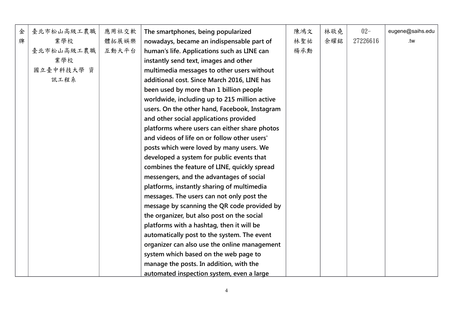| 金 | 臺北市松山高級工農職 | 應用社交軟 | The smartphones, being popularized            | 陳鴻文 | 林敬堯 | $02 -$   | eugene@saihs.edu |
|---|------------|-------|-----------------------------------------------|-----|-----|----------|------------------|
| 牌 | 業學校        | 體拓展娛樂 | nowadays, became an indispensable part of     | 林聖祐 | 余耀銘 | 27226616 | .tw              |
|   | 臺北市松山高級工農職 | 互動大平台 | human's life. Applications such as LINE can   | 楊承勳 |     |          |                  |
|   | 業學校        |       | instantly send text, images and other         |     |     |          |                  |
|   | 國立臺中科技大學 資 |       | multimedia messages to other users without    |     |     |          |                  |
|   | 訊工程系       |       | additional cost. Since March 2016, LINE has   |     |     |          |                  |
|   |            |       | been used by more than 1 billion people       |     |     |          |                  |
|   |            |       | worldwide, including up to 215 million active |     |     |          |                  |
|   |            |       | users. On the other hand, Facebook, Instagram |     |     |          |                  |
|   |            |       | and other social applications provided        |     |     |          |                  |
|   |            |       | platforms where users can either share photos |     |     |          |                  |
|   |            |       | and videos of life on or follow other users'  |     |     |          |                  |
|   |            |       | posts which were loved by many users. We      |     |     |          |                  |
|   |            |       | developed a system for public events that     |     |     |          |                  |
|   |            |       | combines the feature of LINE, quickly spread  |     |     |          |                  |
|   |            |       | messengers, and the advantages of social      |     |     |          |                  |
|   |            |       | platforms, instantly sharing of multimedia    |     |     |          |                  |
|   |            |       | messages. The users can not only post the     |     |     |          |                  |
|   |            |       | message by scanning the QR code provided by   |     |     |          |                  |
|   |            |       | the organizer, but also post on the social    |     |     |          |                  |
|   |            |       | platforms with a hashtag, then it will be     |     |     |          |                  |
|   |            |       | automatically post to the system. The event   |     |     |          |                  |
|   |            |       | organizer can also use the online management  |     |     |          |                  |
|   |            |       | system which based on the web page to         |     |     |          |                  |
|   |            |       | manage the posts. In addition, with the       |     |     |          |                  |
|   |            |       | automated inspection system, even a large     |     |     |          |                  |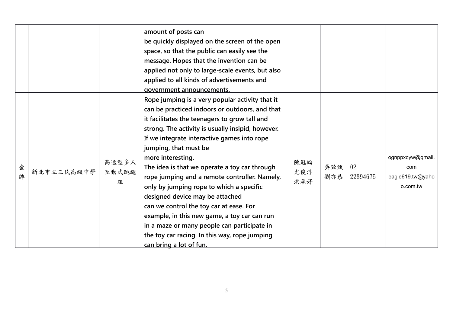|        |            |                     | amount of posts can<br>be quickly displayed on the screen of the open<br>space, so that the public can easily see the<br>message. Hopes that the invention can be<br>applied not only to large-scale events, but also<br>applied to all kinds of advertisements and<br>government announcements.                                                                                                                                                                                                                                                                                                                                                                                                            |                   |            |                    |                                                         |
|--------|------------|---------------------|-------------------------------------------------------------------------------------------------------------------------------------------------------------------------------------------------------------------------------------------------------------------------------------------------------------------------------------------------------------------------------------------------------------------------------------------------------------------------------------------------------------------------------------------------------------------------------------------------------------------------------------------------------------------------------------------------------------|-------------------|------------|--------------------|---------------------------------------------------------|
| 金<br>牌 | 新北市立三民高級中學 | 高速型多人<br>互動式跳繩<br>組 | Rope jumping is a very popular activity that it<br>can be practiced indoors or outdoors, and that<br>it facilitates the teenagers to grow tall and<br>strong. The activity is usually insipid, however.<br>If we integrate interactive games into rope<br>jumping, that must be<br>more interesting.<br>The idea is that we operate a toy car through<br>rope jumping and a remote controller. Namely,<br>only by jumping rope to which a specific<br>designed device may be attached<br>can we control the toy car at ease. For<br>example, in this new game, a toy car can run<br>in a maze or many people can participate in<br>the toy car racing. In this way, rope jumping<br>can bring a lot of fun. | 陳冠綸<br>尤俊淳<br>洪承妤 | 吳致甄<br>劉亦恭 | $02 -$<br>22894675 | ognppxcyw@gmail.<br>com<br>eagle619.tw@yaho<br>o.com.tw |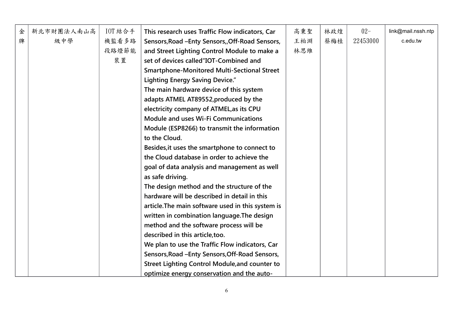| 金 | 新北市財團法人南山高 | $10T$ 結合手 | This research uses Traffic Flow indicators, Car       | 高秉聖 | 林政煌 | $02 -$   | link@mail.nssh.ntp |
|---|------------|-----------|-------------------------------------------------------|-----|-----|----------|--------------------|
| 牌 | 級中學        | 機監看多路     | Sensors, Road - Enty Sensors, Off-Road Sensors,       | 王柏淵 | 蔡梅桂 | 22453000 | c.edu.tw           |
|   |            | 段路燈節能     | and Street Lighting Control Module to make a          | 林思維 |     |          |                    |
|   |            | 裝置        | set of devices called "IOT-Combined and               |     |     |          |                    |
|   |            |           | <b>Smartphone-Monitored Multi-Sectional Street</b>    |     |     |          |                    |
|   |            |           | <b>Lighting Energy Saving Device."</b>                |     |     |          |                    |
|   |            |           | The main hardware device of this system               |     |     |          |                    |
|   |            |           | adapts ATMEL AT89552, produced by the                 |     |     |          |                    |
|   |            |           | electricity company of ATMEL, as its CPU              |     |     |          |                    |
|   |            |           | <b>Module and uses Wi-Fi Communications</b>           |     |     |          |                    |
|   |            |           | Module (ESP8266) to transmit the information          |     |     |          |                    |
|   |            |           | to the Cloud.                                         |     |     |          |                    |
|   |            |           | Besides, it uses the smartphone to connect to         |     |     |          |                    |
|   |            |           | the Cloud database in order to achieve the            |     |     |          |                    |
|   |            |           | goal of data analysis and management as well          |     |     |          |                    |
|   |            |           | as safe driving.                                      |     |     |          |                    |
|   |            |           | The design method and the structure of the            |     |     |          |                    |
|   |            |           | hardware will be described in detail in this          |     |     |          |                    |
|   |            |           | article. The main software used in this system is     |     |     |          |                    |
|   |            |           | written in combination language. The design           |     |     |          |                    |
|   |            |           | method and the software process will be               |     |     |          |                    |
|   |            |           | described in this article, too.                       |     |     |          |                    |
|   |            |           | We plan to use the Traffic Flow indicators, Car       |     |     |          |                    |
|   |            |           | Sensors, Road - Enty Sensors, Off-Road Sensors,       |     |     |          |                    |
|   |            |           | <b>Street Lighting Control Module, and counter to</b> |     |     |          |                    |
|   |            |           | optimize energy conservation and the auto-            |     |     |          |                    |